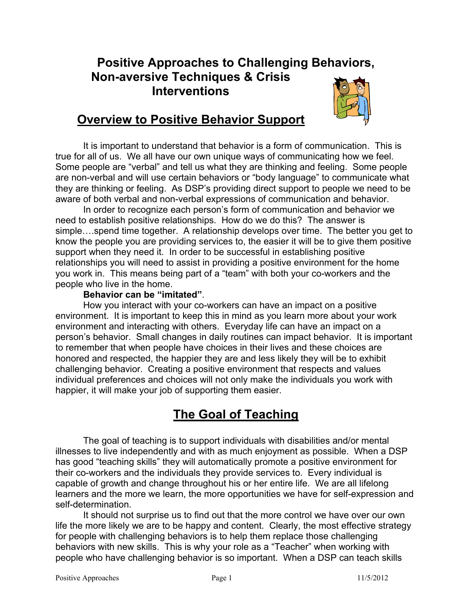# **Positive Approaches to Challenging Behaviors, Non-aversive Techniques & Crisis Interventions**



# **Overview to Positive Behavior Support**

It is important to understand that behavior is a form of communication. This is true for all of us. We all have our own unique ways of communicating how we feel. Some people are "verbal" and tell us what they are thinking and feeling. Some people are non-verbal and will use certain behaviors or "body language" to communicate what they are thinking or feeling. As DSP's providing direct support to people we need to be aware of both verbal and non-verbal expressions of communication and behavior.

In order to recognize each person's form of communication and behavior we need to establish positive relationships. How do we do this? The answer is simple….spend time together. A relationship develops over time. The better you get to know the people you are providing services to, the easier it will be to give them positive support when they need it. In order to be successful in establishing positive relationships you will need to assist in providing a positive environment for the home you work in. This means being part of a "team" with both your co-workers and the people who live in the home.

#### **Behavior can be "imitated"**.

How you interact with your co-workers can have an impact on a positive environment. It is important to keep this in mind as you learn more about your work environment and interacting with others. Everyday life can have an impact on a person's behavior. Small changes in daily routines can impact behavior. It is important to remember that when people have choices in their lives and these choices are honored and respected, the happier they are and less likely they will be to exhibit challenging behavior. Creating a positive environment that respects and values individual preferences and choices will not only make the individuals you work with happier, it will make your job of supporting them easier.

# **The Goal of Teaching**

The goal of teaching is to support individuals with disabilities and/or mental illnesses to live independently and with as much enjoyment as possible. When a DSP has good "teaching skills" they will automatically promote a positive environment for their co-workers and the individuals they provide services to. Every individual is capable of growth and change throughout his or her entire life. We are all lifelong learners and the more we learn, the more opportunities we have for self-expression and self-determination.

It should not surprise us to find out that the more control we have over our own life the more likely we are to be happy and content. Clearly, the most effective strategy for people with challenging behaviors is to help them replace those challenging behaviors with new skills. This is why your role as a "Teacher" when working with people who have challenging behavior is so important. When a DSP can teach skills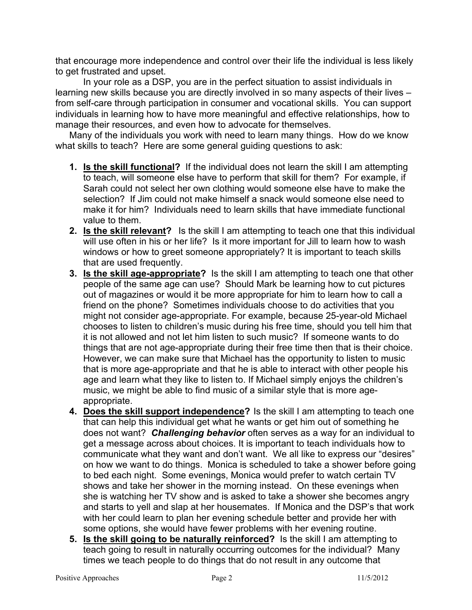that encourage more independence and control over their life the individual is less likely to get frustrated and upset.

In your role as a DSP, you are in the perfect situation to assist individuals in learning new skills because you are directly involved in so many aspects of their lives – from self-care through participation in consumer and vocational skills. You can support individuals in learning how to have more meaningful and effective relationships, how to manage their resources, and even how to advocate for themselves.

Many of the individuals you work with need to learn many things. How do we know what skills to teach? Here are some general guiding questions to ask:

- **1. Is the skill functional?** If the individual does not learn the skill I am attempting to teach, will someone else have to perform that skill for them? For example, if Sarah could not select her own clothing would someone else have to make the selection? If Jim could not make himself a snack would someone else need to make it for him? Individuals need to learn skills that have immediate functional value to them.
- **2. Is the skill relevant?** Is the skill I am attempting to teach one that this individual will use often in his or her life? Is it more important for Jill to learn how to wash windows or how to greet someone appropriately? It is important to teach skills that are used frequently.
- **3. Is the skill age-appropriate?** Is the skill I am attempting to teach one that other people of the same age can use? Should Mark be learning how to cut pictures out of magazines or would it be more appropriate for him to learn how to call a friend on the phone? Sometimes individuals choose to do activities that you might not consider age-appropriate. For example, because 25-year-old Michael chooses to listen to children's music during his free time, should you tell him that it is not allowed and not let him listen to such music? If someone wants to do things that are not age-appropriate during their free time then that is their choice. However, we can make sure that Michael has the opportunity to listen to music that is more age-appropriate and that he is able to interact with other people his age and learn what they like to listen to. If Michael simply enjoys the children's music, we might be able to find music of a similar style that is more ageappropriate.
- **4. Does the skill support independence?** Is the skill I am attempting to teach one that can help this individual get what he wants or get him out of something he does not want? *Challenging behavior* often serves as a way for an individual to get a message across about choices. It is important to teach individuals how to communicate what they want and don't want. We all like to express our "desires" on how we want to do things. Monica is scheduled to take a shower before going to bed each night. Some evenings, Monica would prefer to watch certain TV shows and take her shower in the morning instead. On these evenings when she is watching her TV show and is asked to take a shower she becomes angry and starts to yell and slap at her housemates. If Monica and the DSP's that work with her could learn to plan her evening schedule better and provide her with some options, she would have fewer problems with her evening routine.
- **5. Is the skill going to be naturally reinforced?** Is the skill I am attempting to teach going to result in naturally occurring outcomes for the individual? Many times we teach people to do things that do not result in any outcome that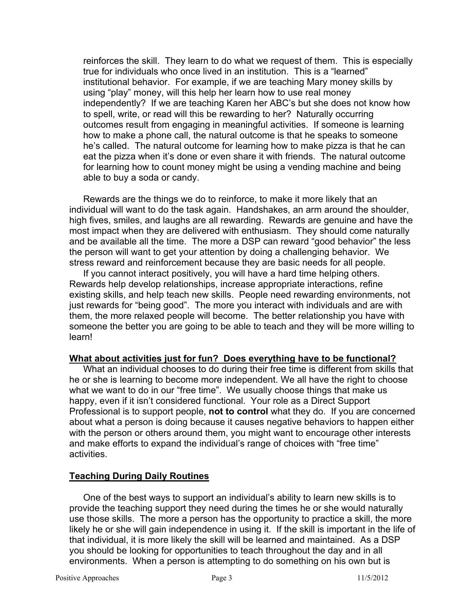reinforces the skill. They learn to do what we request of them. This is especially true for individuals who once lived in an institution. This is a "learned" institutional behavior. For example, if we are teaching Mary money skills by using "play" money, will this help her learn how to use real money independently? If we are teaching Karen her ABC's but she does not know how to spell, write, or read will this be rewarding to her? Naturally occurring outcomes result from engaging in meaningful activities. If someone is learning how to make a phone call, the natural outcome is that he speaks to someone he's called. The natural outcome for learning how to make pizza is that he can eat the pizza when it's done or even share it with friends. The natural outcome for learning how to count money might be using a vending machine and being able to buy a soda or candy.

Rewards are the things we do to reinforce, to make it more likely that an individual will want to do the task again. Handshakes, an arm around the shoulder, high fives, smiles, and laughs are all rewarding. Rewards are genuine and have the most impact when they are delivered with enthusiasm. They should come naturally and be available all the time. The more a DSP can reward "good behavior" the less the person will want to get your attention by doing a challenging behavior. We stress reward and reinforcement because they are basic needs for all people.

If you cannot interact positively, you will have a hard time helping others. Rewards help develop relationships, increase appropriate interactions, refine existing skills, and help teach new skills. People need rewarding environments, not just rewards for "being good". The more you interact with individuals and are with them, the more relaxed people will become. The better relationship you have with someone the better you are going to be able to teach and they will be more willing to learn!

#### **What about activities just for fun? Does everything have to be functional?**

What an individual chooses to do during their free time is different from skills that he or she is learning to become more independent. We all have the right to choose what we want to do in our "free time". We usually choose things that make us happy, even if it isn't considered functional. Your role as a Direct Support Professional is to support people, **not to control** what they do. If you are concerned about what a person is doing because it causes negative behaviors to happen either with the person or others around them, you might want to encourage other interests and make efforts to expand the individual's range of choices with "free time" activities.

#### **Teaching During Daily Routines**

One of the best ways to support an individual's ability to learn new skills is to provide the teaching support they need during the times he or she would naturally use those skills. The more a person has the opportunity to practice a skill, the more likely he or she will gain independence in using it. If the skill is important in the life of that individual, it is more likely the skill will be learned and maintained. As a DSP you should be looking for opportunities to teach throughout the day and in all environments. When a person is attempting to do something on his own but is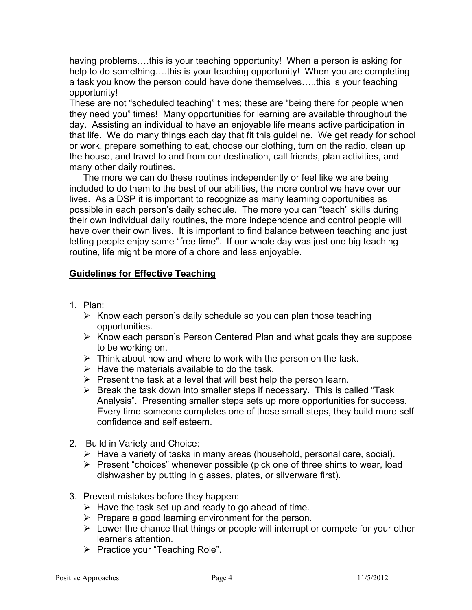having problems….this is your teaching opportunity! When a person is asking for help to do something….this is your teaching opportunity! When you are completing a task you know the person could have done themselves…..this is your teaching opportunity!

These are not "scheduled teaching" times; these are "being there for people when they need you" times! Many opportunities for learning are available throughout the day. Assisting an individual to have an enjoyable life means active participation in that life. We do many things each day that fit this guideline. We get ready for school or work, prepare something to eat, choose our clothing, turn on the radio, clean up the house, and travel to and from our destination, call friends, plan activities, and many other daily routines.

The more we can do these routines independently or feel like we are being included to do them to the best of our abilities, the more control we have over our lives. As a DSP it is important to recognize as many learning opportunities as possible in each person's daily schedule. The more you can "teach" skills during their own individual daily routines, the more independence and control people will have over their own lives. It is important to find balance between teaching and just letting people enjoy some "free time". If our whole day was just one big teaching routine, life might be more of a chore and less enjoyable.

#### **Guidelines for Effective Teaching**

- 1. Plan:
	- $\triangleright$  Know each person's daily schedule so you can plan those teaching opportunities.
	- ¾ Know each person's Person Centered Plan and what goals they are suppose to be working on.
	- $\triangleright$  Think about how and where to work with the person on the task.
	- $\triangleright$  Have the materials available to do the task.
	- $\triangleright$  Present the task at a level that will best help the person learn.
	- $\triangleright$  Break the task down into smaller steps if necessary. This is called "Task" Analysis". Presenting smaller steps sets up more opportunities for success. Every time someone completes one of those small steps, they build more self confidence and self esteem.
- 2. Build in Variety and Choice:
	- $\triangleright$  Have a variety of tasks in many areas (household, personal care, social).
	- $\triangleright$  Present "choices" whenever possible (pick one of three shirts to wear, load dishwasher by putting in glasses, plates, or silverware first).
- 3. Prevent mistakes before they happen:
	- $\triangleright$  Have the task set up and ready to go ahead of time.
	- $\triangleright$  Prepare a good learning environment for the person.
	- $\triangleright$  Lower the chance that things or people will interrupt or compete for your other learner's attention.
	- ¾ Practice your "Teaching Role".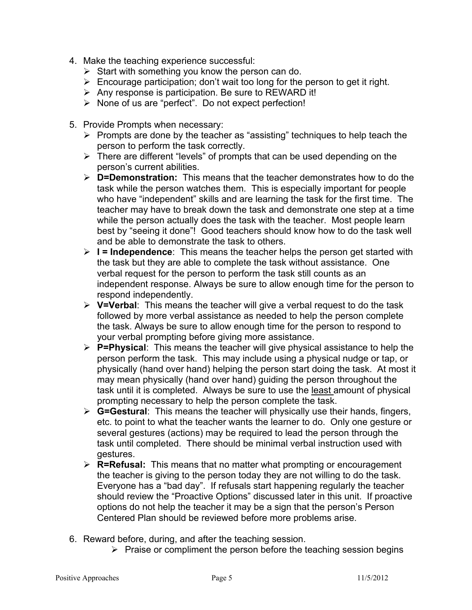- 4. Make the teaching experience successful:
	- $\triangleright$  Start with something you know the person can do.
	- $\triangleright$  Encourage participation; don't wait too long for the person to get it right.
	- $\triangleright$  Any response is participation. Be sure to REWARD it!
	- ¾ None of us are "perfect". Do not expect perfection!
- 5. Provide Prompts when necessary:
	- $\triangleright$  Prompts are done by the teacher as "assisting" techniques to help teach the person to perform the task correctly.
	- $\triangleright$  There are different "levels" of prompts that can be used depending on the person's current abilities.
	- ¾ **D=Demonstration:** This means that the teacher demonstrates how to do the task while the person watches them. This is especially important for people who have "independent" skills and are learning the task for the first time. The teacher may have to break down the task and demonstrate one step at a time while the person actually does the task with the teacher. Most people learn best by "seeing it done"! Good teachers should know how to do the task well and be able to demonstrate the task to others.
	- ¾ **I = Independence**: This means the teacher helps the person get started with the task but they are able to complete the task without assistance. One verbal request for the person to perform the task still counts as an independent response. Always be sure to allow enough time for the person to respond independently.
	- ¾ **V=Verbal**: This means the teacher will give a verbal request to do the task followed by more verbal assistance as needed to help the person complete the task. Always be sure to allow enough time for the person to respond to your verbal prompting before giving more assistance.
	- ¾ **P=Physical**: This means the teacher will give physical assistance to help the person perform the task. This may include using a physical nudge or tap, or physically (hand over hand) helping the person start doing the task. At most it may mean physically (hand over hand) guiding the person throughout the task until it is completed. Always be sure to use the least amount of physical prompting necessary to help the person complete the task.
	- ¾ **G=Gestural**: This means the teacher will physically use their hands, fingers, etc. to point to what the teacher wants the learner to do. Only one gesture or several gestures (actions) may be required to lead the person through the task until completed. There should be minimal verbal instruction used with gestures.
	- ¾ **R=Refusal:** This means that no matter what prompting or encouragement the teacher is giving to the person today they are not willing to do the task. Everyone has a "bad day". If refusals start happening regularly the teacher should review the "Proactive Options" discussed later in this unit. If proactive options do not help the teacher it may be a sign that the person's Person Centered Plan should be reviewed before more problems arise.
- 6. Reward before, during, and after the teaching session.
	- $\triangleright$  Praise or compliment the person before the teaching session begins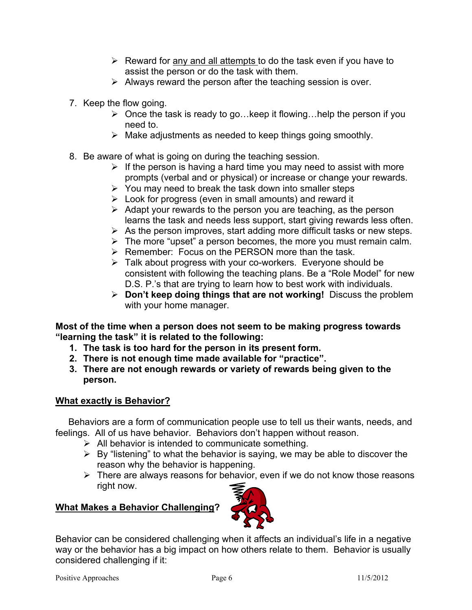- $\triangleright$  Reward for any and all attempts to do the task even if you have to assist the person or do the task with them.
- $\triangleright$  Always reward the person after the teaching session is over.
- 7. Keep the flow going.
	- $\triangleright$  Once the task is ready to go... keep it flowing... help the person if you need to.
	- $\triangleright$  Make adjustments as needed to keep things going smoothly.
- 8. Be aware of what is going on during the teaching session.
	- $\triangleright$  If the person is having a hard time you may need to assist with more prompts (verbal and or physical) or increase or change your rewards.
	- $\triangleright$  You may need to break the task down into smaller steps
	- $\triangleright$  Look for progress (even in small amounts) and reward it
	- $\triangleright$  Adapt your rewards to the person you are teaching, as the person learns the task and needs less support, start giving rewards less often.
	- $\triangleright$  As the person improves, start adding more difficult tasks or new steps.
	- $\triangleright$  The more "upset" a person becomes, the more you must remain calm.
	- ¾ Remember: Focus on the PERSON more than the task.
	- $\triangleright$  Talk about progress with your co-workers. Everyone should be consistent with following the teaching plans. Be a "Role Model" for new D.S. P.'s that are trying to learn how to best work with individuals.
	- ¾ **Don't keep doing things that are not working!** Discuss the problem with your home manager.

**Most of the time when a person does not seem to be making progress towards "learning the task" it is related to the following:** 

- **1. The task is too hard for the person in its present form.**
- **2. There is not enough time made available for "practice".**
- **3. There are not enough rewards or variety of rewards being given to the person.**

# **What exactly is Behavior?**

Behaviors are a form of communication people use to tell us their wants, needs, and feelings. All of us have behavior. Behaviors don't happen without reason.

- $\triangleright$  All behavior is intended to communicate something.
- $\triangleright$  By "listening" to what the behavior is saying, we may be able to discover the reason why the behavior is happening.
- $\triangleright$  There are always reasons for behavior, even if we do not know those reasons right now.

# **What Makes a Behavior Challenging?**



Behavior can be considered challenging when it affects an individual's life in a negative way or the behavior has a big impact on how others relate to them. Behavior is usually considered challenging if it: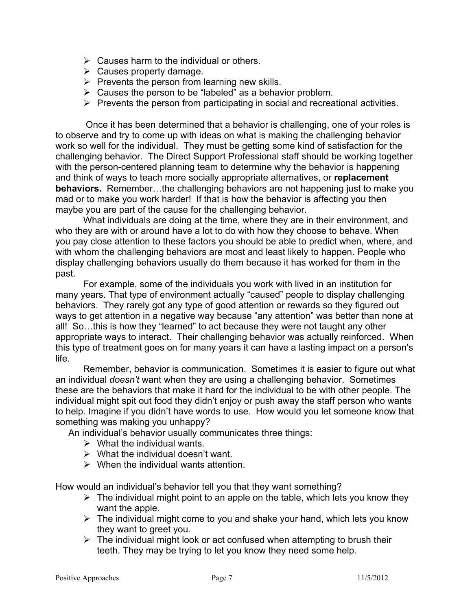- $\triangleright$  Causes harm to the individual or others.
- $\triangleright$  Causes property damage.
- $\triangleright$  Prevents the person from learning new skills.
- $\triangleright$  Causes the person to be "labeled" as a behavior problem.
- $\triangleright$  Prevents the person from participating in social and recreational activities.

 Once it has been determined that a behavior is challenging, one of your roles is to observe and try to come up with ideas on what is making the challenging behavior work so well for the individual. They must be getting some kind of satisfaction for the challenging behavior. The Direct Support Professional staff should be working together with the person-centered planning team to determine why the behavior is happening and think of ways to teach more socially appropriate alternatives, or **replacement behaviors.** Remember…the challenging behaviors are not happening just to make you mad or to make you work harder! If that is how the behavior is affecting you then maybe you are part of the cause for the challenging behavior.

 What individuals are doing at the time, where they are in their environment, and who they are with or around have a lot to do with how they choose to behave. When you pay close attention to these factors you should be able to predict when, where, and with whom the challenging behaviors are most and least likely to happen. People who display challenging behaviors usually do them because it has worked for them in the past.

For example, some of the individuals you work with lived in an institution for many years. That type of environment actually "caused" people to display challenging behaviors. They rarely got any type of good attention or rewards so they figured out ways to get attention in a negative way because "any attention" was better than none at all! So…this is how they "learned" to act because they were not taught any other appropriate ways to interact. Their challenging behavior was actually reinforced. When this type of treatment goes on for many years it can have a lasting impact on a person's life.

Remember, behavior is communication. Sometimes it is easier to figure out what an individual *doesn't* want when they are using a challenging behavior. Sometimes these are the behaviors that make it hard for the individual to be with other people. The individual might spit out food they didn't enjoy or push away the staff person who wants to help. Imagine if you didn't have words to use. How would you let someone know that something was making you unhappy?

An individual's behavior usually communicates three things:

- $\triangleright$  What the individual wants.
- $\triangleright$  What the individual doesn't want.
- $\triangleright$  When the individual wants attention.

How would an individual's behavior tell you that they want something?

- $\triangleright$  The individual might point to an apple on the table, which lets you know they want the apple.
- $\triangleright$  The individual might come to you and shake your hand, which lets you know they want to greet you.
- $\triangleright$  The individual might look or act confused when attempting to brush their teeth. They may be trying to let you know they need some help.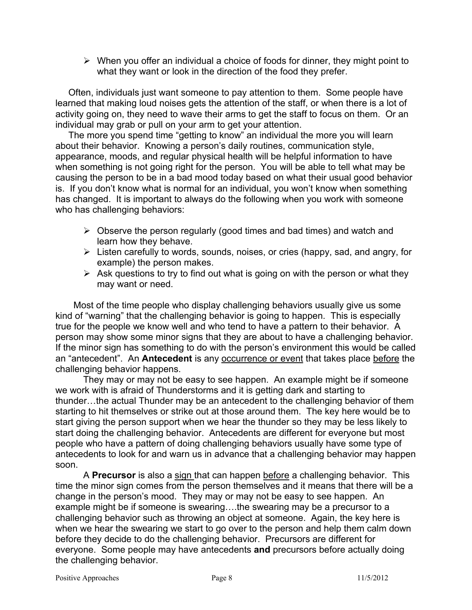$\triangleright$  When you offer an individual a choice of foods for dinner, they might point to what they want or look in the direction of the food they prefer.

 Often, individuals just want someone to pay attention to them. Some people have learned that making loud noises gets the attention of the staff, or when there is a lot of activity going on, they need to wave their arms to get the staff to focus on them. Or an individual may grab or pull on your arm to get your attention.

 The more you spend time "getting to know" an individual the more you will learn about their behavior. Knowing a person's daily routines, communication style, appearance, moods, and regular physical health will be helpful information to have when something is not going right for the person. You will be able to tell what may be causing the person to be in a bad mood today based on what their usual good behavior is. If you don't know what is normal for an individual, you won't know when something has changed. It is important to always do the following when you work with someone who has challenging behaviors:

- $\triangleright$  Observe the person regularly (good times and bad times) and watch and learn how they behave.
- $\triangleright$  Listen carefully to words, sounds, noises, or cries (happy, sad, and angry, for example) the person makes.
- $\triangleright$  Ask questions to try to find out what is going on with the person or what they may want or need.

 Most of the time people who display challenging behaviors usually give us some kind of "warning" that the challenging behavior is going to happen. This is especially true for the people we know well and who tend to have a pattern to their behavior. A person may show some minor signs that they are about to have a challenging behavior. If the minor sign has something to do with the person's environment this would be called an "antecedent". An **Antecedent** is any occurrence or event that takes place before the challenging behavior happens.

They may or may not be easy to see happen. An example might be if someone we work with is afraid of Thunderstorms and it is getting dark and starting to thunder…the actual Thunder may be an antecedent to the challenging behavior of them starting to hit themselves or strike out at those around them. The key here would be to start giving the person support when we hear the thunder so they may be less likely to start doing the challenging behavior. Antecedents are different for everyone but most people who have a pattern of doing challenging behaviors usually have some type of antecedents to look for and warn us in advance that a challenging behavior may happen soon.

A **Precursor** is also a sign that can happen before a challenging behavior. This time the minor sign comes from the person themselves and it means that there will be a change in the person's mood. They may or may not be easy to see happen. An example might be if someone is swearing….the swearing may be a precursor to a challenging behavior such as throwing an object at someone. Again, the key here is when we hear the swearing we start to go over to the person and help them calm down before they decide to do the challenging behavior. Precursors are different for everyone. Some people may have antecedents **and** precursors before actually doing the challenging behavior.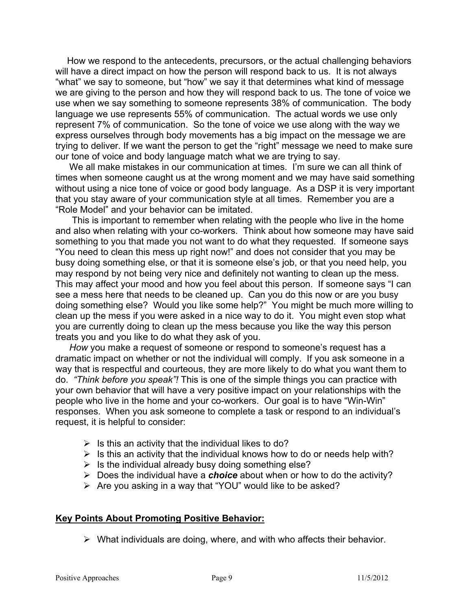How we respond to the antecedents, precursors, or the actual challenging behaviors will have a direct impact on how the person will respond back to us. It is not always "what" we say to someone, but "how" we say it that determines what kind of message we are giving to the person and how they will respond back to us. The tone of voice we use when we say something to someone represents 38% of communication. The body language we use represents 55% of communication. The actual words we use only represent 7% of communication. So the tone of voice we use along with the way we express ourselves through body movements has a big impact on the message we are trying to deliver. If we want the person to get the "right" message we need to make sure our tone of voice and body language match what we are trying to say.

We all make mistakes in our communication at times. I'm sure we can all think of times when someone caught us at the wrong moment and we may have said something without using a nice tone of voice or good body language. As a DSP it is very important that you stay aware of your communication style at all times. Remember you are a "Role Model" and your behavior can be imitated.

 This is important to remember when relating with the people who live in the home and also when relating with your co-workers. Think about how someone may have said something to you that made you not want to do what they requested. If someone says "You need to clean this mess up right now!" and does not consider that you may be busy doing something else, or that it is someone else's job, or that you need help, you may respond by not being very nice and definitely not wanting to clean up the mess. This may affect your mood and how you feel about this person. If someone says "I can see a mess here that needs to be cleaned up. Can you do this now or are you busy doing something else? Would you like some help?" You might be much more willing to clean up the mess if you were asked in a nice way to do it. You might even stop what you are currently doing to clean up the mess because you like the way this person treats you and you like to do what they ask of you.

*How* you make a request of someone or respond to someone's request has a dramatic impact on whether or not the individual will comply. If you ask someone in a way that is respectful and courteous, they are more likely to do what you want them to do. *"Think before you speak"!* This is one of the simple things you can practice with your own behavior that will have a very positive impact on your relationships with the people who live in the home and your co-workers. Our goal is to have "Win-Win" responses. When you ask someone to complete a task or respond to an individual's request, it is helpful to consider:

- $\triangleright$  Is this an activity that the individual likes to do?
- $\triangleright$  Is this an activity that the individual knows how to do or needs help with?
- $\triangleright$  Is the individual already busy doing something else?
- ¾ Does the individual have a *choice* about when or how to do the activity?
- $\triangleright$  Are you asking in a way that "YOU" would like to be asked?

#### **Key Points About Promoting Positive Behavior:**

 $\triangleright$  What individuals are doing, where, and with who affects their behavior.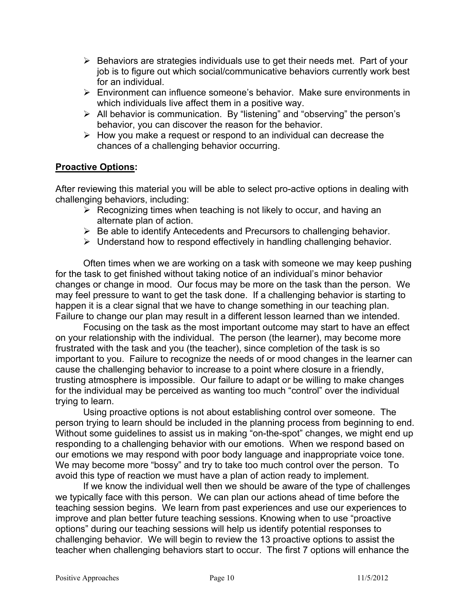- $\triangleright$  Behaviors are strategies individuals use to get their needs met. Part of your job is to figure out which social/communicative behaviors currently work best for an individual.
- ¾ Environment can influence someone's behavior. Make sure environments in which individuals live affect them in a positive way.
- ¾ All behavior is communication. By "listening" and "observing" the person's behavior, you can discover the reason for the behavior.
- $\triangleright$  How you make a request or respond to an individual can decrease the chances of a challenging behavior occurring.

#### **Proactive Options:**

After reviewing this material you will be able to select pro-active options in dealing with challenging behaviors, including:

- $\triangleright$  Recognizing times when teaching is not likely to occur, and having an alternate plan of action.
- $\triangleright$  Be able to identify Antecedents and Precursors to challenging behavior.
- $\triangleright$  Understand how to respond effectively in handling challenging behavior.

Often times when we are working on a task with someone we may keep pushing for the task to get finished without taking notice of an individual's minor behavior changes or change in mood. Our focus may be more on the task than the person. We may feel pressure to want to get the task done. If a challenging behavior is starting to happen it is a clear signal that we have to change something in our teaching plan. Failure to change our plan may result in a different lesson learned than we intended.

Focusing on the task as the most important outcome may start to have an effect on your relationship with the individual. The person (the learner), may become more frustrated with the task and you (the teacher), since completion of the task is so important to you. Failure to recognize the needs of or mood changes in the learner can cause the challenging behavior to increase to a point where closure in a friendly, trusting atmosphere is impossible. Our failure to adapt or be willing to make changes for the individual may be perceived as wanting too much "control" over the individual trying to learn.

Using proactive options is not about establishing control over someone. The person trying to learn should be included in the planning process from beginning to end. Without some guidelines to assist us in making "on-the-spot" changes, we might end up responding to a challenging behavior with our emotions. When we respond based on our emotions we may respond with poor body language and inappropriate voice tone. We may become more "bossy" and try to take too much control over the person. To avoid this type of reaction we must have a plan of action ready to implement.

If we know the individual well then we should be aware of the type of challenges we typically face with this person. We can plan our actions ahead of time before the teaching session begins. We learn from past experiences and use our experiences to improve and plan better future teaching sessions. Knowing when to use "proactive options" during our teaching sessions will help us identify potential responses to challenging behavior. We will begin to review the 13 proactive options to assist the teacher when challenging behaviors start to occur. The first 7 options will enhance the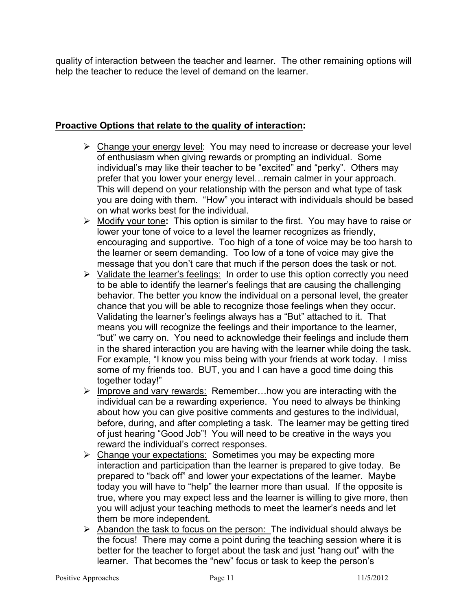quality of interaction between the teacher and learner. The other remaining options will help the teacher to reduce the level of demand on the learner.

## **Proactive Options that relate to the quality of interaction:**

- $\triangleright$  Change your energy level: You may need to increase or decrease your level of enthusiasm when giving rewards or prompting an individual. Some individual's may like their teacher to be "excited" and "perky". Others may prefer that you lower your energy level…remain calmer in your approach. This will depend on your relationship with the person and what type of task you are doing with them. "How" you interact with individuals should be based on what works best for the individual.
- ¾ Modify your tone**:** This option is similar to the first. You may have to raise or lower your tone of voice to a level the learner recognizes as friendly, encouraging and supportive. Too high of a tone of voice may be too harsh to the learner or seem demanding. Too low of a tone of voice may give the message that you don't care that much if the person does the task or not.
- ¾ Validate the learner's feelings:In order to use this option correctly you need to be able to identify the learner's feelings that are causing the challenging behavior. The better you know the individual on a personal level, the greater chance that you will be able to recognize those feelings when they occur. Validating the learner's feelings always has a "But" attached to it. That means you will recognize the feelings and their importance to the learner, "but" we carry on. You need to acknowledge their feelings and include them in the shared interaction you are having with the learner while doing the task. For example, "I know you miss being with your friends at work today. I miss some of my friends too. BUT, you and I can have a good time doing this together today!"
- $\triangleright$  Improve and vary rewards: Remember... how you are interacting with the individual can be a rewarding experience. You need to always be thinking about how you can give positive comments and gestures to the individual, before, during, and after completing a task. The learner may be getting tired of just hearing "Good Job"! You will need to be creative in the ways you reward the individual's correct responses.
- ¾ Change your expectations: Sometimes you may be expecting more interaction and participation than the learner is prepared to give today. Be prepared to "back off" and lower your expectations of the learner. Maybe today you will have to "help" the learner more than usual. If the opposite is true, where you may expect less and the learner is willing to give more, then you will adjust your teaching methods to meet the learner's needs and let them be more independent.
- $\triangleright$  Abandon the task to focus on the person: The individual should always be the focus! There may come a point during the teaching session where it is better for the teacher to forget about the task and just "hang out" with the learner. That becomes the "new" focus or task to keep the person's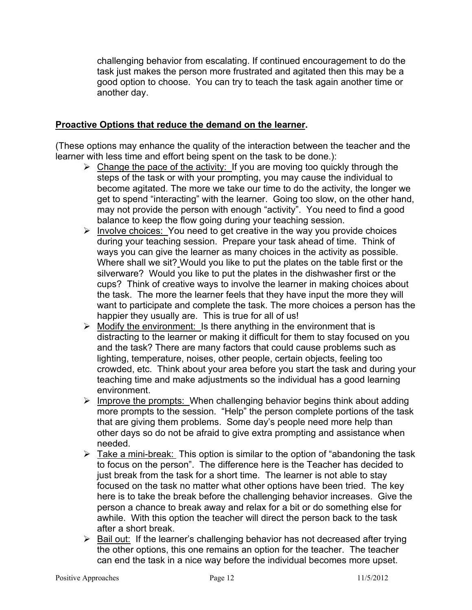challenging behavior from escalating. If continued encouragement to do the task just makes the person more frustrated and agitated then this may be a good option to choose. You can try to teach the task again another time or another day.

#### **Proactive Options that reduce the demand on the learner.**

(These options may enhance the quality of the interaction between the teacher and the learner with less time and effort being spent on the task to be done.):

- $\triangleright$  Change the pace of the activity: If you are moving too quickly through the steps of the task or with your prompting, you may cause the individual to become agitated. The more we take our time to do the activity, the longer we get to spend "interacting" with the learner. Going too slow, on the other hand, may not provide the person with enough "activity". You need to find a good balance to keep the flow going during your teaching session.
- $\triangleright$  Involve choices: You need to get creative in the way you provide choices during your teaching session. Prepare your task ahead of time. Think of ways you can give the learner as many choices in the activity as possible. Where shall we sit? Would you like to put the plates on the table first or the silverware? Would you like to put the plates in the dishwasher first or the cups? Think of creative ways to involve the learner in making choices about the task. The more the learner feels that they have input the more they will want to participate and complete the task. The more choices a person has the happier they usually are. This is true for all of us!
- $\triangleright$  Modify the environment: Is there anything in the environment that is distracting to the learner or making it difficult for them to stay focused on you and the task? There are many factors that could cause problems such as lighting, temperature, noises, other people, certain objects, feeling too crowded, etc. Think about your area before you start the task and during your teaching time and make adjustments so the individual has a good learning environment.
- $\triangleright$  Improve the prompts: When challenging behavior begins think about adding more prompts to the session. "Help" the person complete portions of the task that are giving them problems. Some day's people need more help than other days so do not be afraid to give extra prompting and assistance when needed.
- $\triangleright$  Take a mini-break: This option is similar to the option of "abandoning the task" to focus on the person". The difference here is the Teacher has decided to just break from the task for a short time. The learner is not able to stay focused on the task no matter what other options have been tried. The key here is to take the break before the challenging behavior increases. Give the person a chance to break away and relax for a bit or do something else for awhile. With this option the teacher will direct the person back to the task after a short break.
- $\triangleright$  Bail out: If the learner's challenging behavior has not decreased after trying the other options, this one remains an option for the teacher. The teacher can end the task in a nice way before the individual becomes more upset.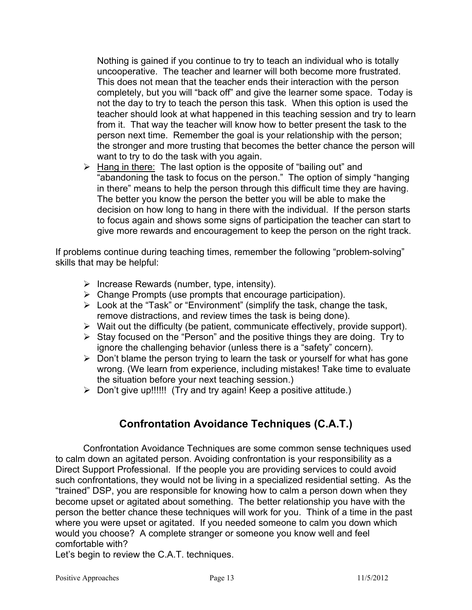Nothing is gained if you continue to try to teach an individual who is totally uncooperative. The teacher and learner will both become more frustrated. This does not mean that the teacher ends their interaction with the person completely, but you will "back off" and give the learner some space. Today is not the day to try to teach the person this task. When this option is used the teacher should look at what happened in this teaching session and try to learn from it. That way the teacher will know how to better present the task to the person next time. Remember the goal is your relationship with the person; the stronger and more trusting that becomes the better chance the person will want to try to do the task with you again.

 $\triangleright$  Hang in there: The last option is the opposite of "bailing out" and "abandoning the task to focus on the person." The option of simply "hanging in there" means to help the person through this difficult time they are having. The better you know the person the better you will be able to make the decision on how long to hang in there with the individual. If the person starts to focus again and shows some signs of participation the teacher can start to give more rewards and encouragement to keep the person on the right track.

If problems continue during teaching times, remember the following "problem-solving" skills that may be helpful:

- $\triangleright$  Increase Rewards (number, type, intensity).
- $\triangleright$  Change Prompts (use prompts that encourage participation).
- $\triangleright$  Look at the "Task" or "Environment" (simplify the task, change the task, remove distractions, and review times the task is being done).
- $\triangleright$  Wait out the difficulty (be patient, communicate effectively, provide support).
- $\triangleright$  Stay focused on the "Person" and the positive things they are doing. Try to ignore the challenging behavior (unless there is a "safety" concern).
- $\triangleright$  Don't blame the person trying to learn the task or yourself for what has gone wrong. (We learn from experience, including mistakes! Take time to evaluate the situation before your next teaching session.)
- $\triangleright$  Don't give up!!!!!!! (Try and try again! Keep a positive attitude.)

# **Confrontation Avoidance Techniques (C.A.T.)**

Confrontation Avoidance Techniques are some common sense techniques used to calm down an agitated person. Avoiding confrontation is your responsibility as a Direct Support Professional. If the people you are providing services to could avoid such confrontations, they would not be living in a specialized residential setting. As the "trained" DSP, you are responsible for knowing how to calm a person down when they become upset or agitated about something. The better relationship you have with the person the better chance these techniques will work for you. Think of a time in the past where you were upset or agitated. If you needed someone to calm you down which would you choose? A complete stranger or someone you know well and feel comfortable with?

Let's begin to review the C.A.T. techniques.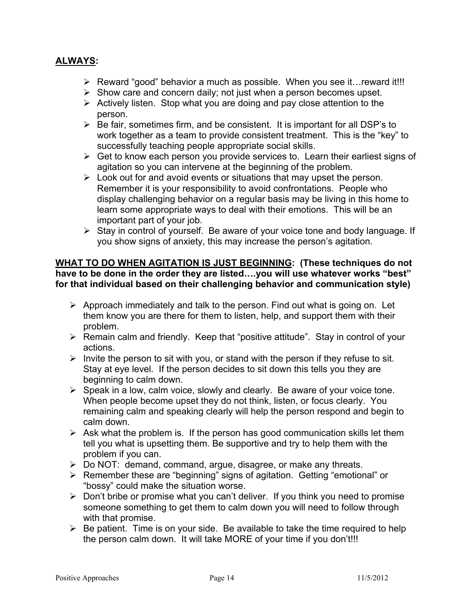## **ALWAYS:**

- $\triangleright$  Reward "good" behavior a much as possible. When you see it... reward it!!!
- $\triangleright$  Show care and concern daily; not just when a person becomes upset.
- $\triangleright$  Actively listen. Stop what you are doing and pay close attention to the person.
- $\triangleright$  Be fair, sometimes firm, and be consistent. It is important for all DSP's to work together as a team to provide consistent treatment. This is the "key" to successfully teaching people appropriate social skills.
- $\triangleright$  Get to know each person you provide services to. Learn their earliest signs of agitation so you can intervene at the beginning of the problem.
- $\triangleright$  Look out for and avoid events or situations that may upset the person. Remember it is your responsibility to avoid confrontations. People who display challenging behavior on a regular basis may be living in this home to learn some appropriate ways to deal with their emotions. This will be an important part of your job.
- $\triangleright$  Stay in control of yourself. Be aware of your voice tone and body language. If you show signs of anxiety, this may increase the person's agitation.

#### **WHAT TO DO WHEN AGITATION IS JUST BEGINNING: (These techniques do not have to be done in the order they are listed….you will use whatever works "best" for that individual based on their challenging behavior and communication style)**

- $\triangleright$  Approach immediately and talk to the person. Find out what is going on. Let them know you are there for them to listen, help, and support them with their problem.
- $\triangleright$  Remain calm and friendly. Keep that "positive attitude". Stay in control of your actions.
- $\triangleright$  Invite the person to sit with you, or stand with the person if they refuse to sit. Stay at eye level. If the person decides to sit down this tells you they are beginning to calm down.
- $\triangleright$  Speak in a low, calm voice, slowly and clearly. Be aware of your voice tone. When people become upset they do not think, listen, or focus clearly. You remaining calm and speaking clearly will help the person respond and begin to calm down.
- $\triangleright$  Ask what the problem is. If the person has good communication skills let them tell you what is upsetting them. Be supportive and try to help them with the problem if you can.
- $\triangleright$  Do NOT: demand, command, argue, disagree, or make any threats.
- ¾ Remember these are "beginning" signs of agitation. Getting "emotional" or "bossy" could make the situation worse.
- $\triangleright$  Don't bribe or promise what you can't deliver. If you think you need to promise someone something to get them to calm down you will need to follow through with that promise.
- $\triangleright$  Be patient. Time is on your side. Be available to take the time required to help the person calm down. It will take MORE of your time if you don't!!!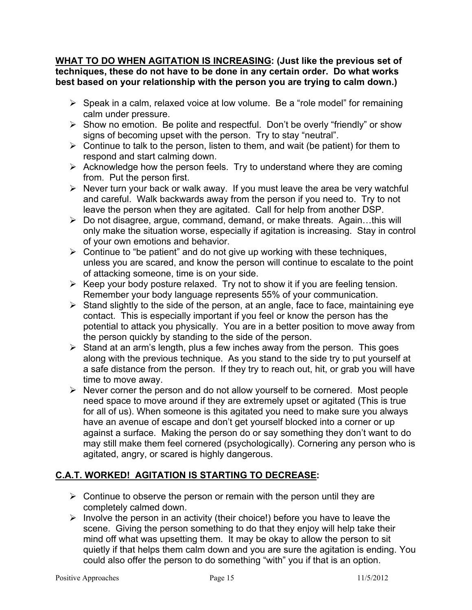**WHAT TO DO WHEN AGITATION IS INCREASING: (Just like the previous set of techniques, these do not have to be done in any certain order. Do what works best based on your relationship with the person you are trying to calm down.)** 

- $\triangleright$  Speak in a calm, relaxed voice at low volume. Be a "role model" for remaining calm under pressure.
- $\triangleright$  Show no emotion. Be polite and respectful. Don't be overly "friendly" or show signs of becoming upset with the person. Try to stay "neutral".
- $\triangleright$  Continue to talk to the person, listen to them, and wait (be patient) for them to respond and start calming down.
- $\triangleright$  Acknowledge how the person feels. Try to understand where they are coming from. Put the person first.
- $\triangleright$  Never turn your back or walk away. If you must leave the area be very watchful and careful. Walk backwards away from the person if you need to. Try to not leave the person when they are agitated. Call for help from another DSP.
- $\triangleright$  Do not disagree, argue, command, demand, or make threats. Again...this will only make the situation worse, especially if agitation is increasing. Stay in control of your own emotions and behavior.
- $\triangleright$  Continue to "be patient" and do not give up working with these techniques, unless you are scared, and know the person will continue to escalate to the point of attacking someone, time is on your side.
- $\triangleright$  Keep your body posture relaxed. Try not to show it if you are feeling tension. Remember your body language represents 55% of your communication.
- $\triangleright$  Stand slightly to the side of the person, at an angle, face to face, maintaining eye contact. This is especially important if you feel or know the person has the potential to attack you physically. You are in a better position to move away from the person quickly by standing to the side of the person.
- $\triangleright$  Stand at an arm's length, plus a few inches away from the person. This goes along with the previous technique. As you stand to the side try to put yourself at a safe distance from the person. If they try to reach out, hit, or grab you will have time to move away.
- $\triangleright$  Never corner the person and do not allow yourself to be cornered. Most people need space to move around if they are extremely upset or agitated (This is true for all of us). When someone is this agitated you need to make sure you always have an avenue of escape and don't get yourself blocked into a corner or up against a surface. Making the person do or say something they don't want to do may still make them feel cornered (psychologically). Cornering any person who is agitated, angry, or scared is highly dangerous.

# **C.A.T. WORKED! AGITATION IS STARTING TO DECREASE:**

- $\triangleright$  Continue to observe the person or remain with the person until they are completely calmed down.
- $\triangleright$  Involve the person in an activity (their choice!) before you have to leave the scene. Giving the person something to do that they enjoy will help take their mind off what was upsetting them. It may be okay to allow the person to sit quietly if that helps them calm down and you are sure the agitation is ending. You could also offer the person to do something "with" you if that is an option.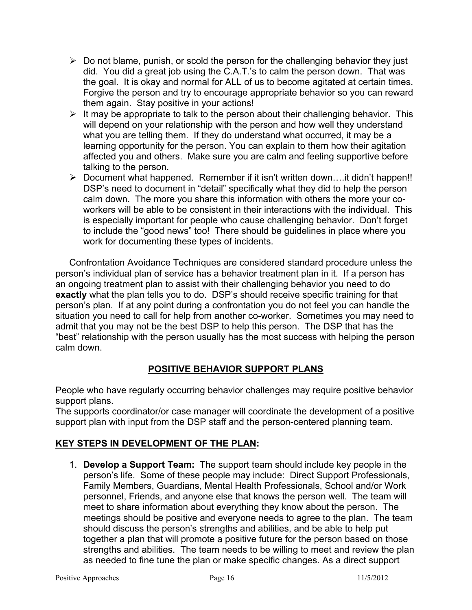- $\triangleright$  Do not blame, punish, or scold the person for the challenging behavior they just did. You did a great job using the C.A.T.'s to calm the person down. That was the goal. It is okay and normal for ALL of us to become agitated at certain times. Forgive the person and try to encourage appropriate behavior so you can reward them again. Stay positive in your actions!
- $\triangleright$  It may be appropriate to talk to the person about their challenging behavior. This will depend on your relationship with the person and how well they understand what you are telling them. If they do understand what occurred, it may be a learning opportunity for the person. You can explain to them how their agitation affected you and others. Make sure you are calm and feeling supportive before talking to the person.
- ¾ Document what happened. Remember if it isn't written down….it didn't happen!! DSP's need to document in "detail" specifically what they did to help the person calm down. The more you share this information with others the more your coworkers will be able to be consistent in their interactions with the individual. This is especially important for people who cause challenging behavior. Don't forget to include the "good news" too! There should be guidelines in place where you work for documenting these types of incidents.

Confrontation Avoidance Techniques are considered standard procedure unless the person's individual plan of service has a behavior treatment plan in it. If a person has an ongoing treatment plan to assist with their challenging behavior you need to do **exactly** what the plan tells you to do. DSP's should receive specific training for that person's plan. If at any point during a confrontation you do not feel you can handle the situation you need to call for help from another co-worker. Sometimes you may need to admit that you may not be the best DSP to help this person. The DSP that has the "best" relationship with the person usually has the most success with helping the person calm down.

# **POSITIVE BEHAVIOR SUPPORT PLANS**

People who have regularly occurring behavior challenges may require positive behavior support plans.

The supports coordinator/or case manager will coordinate the development of a positive support plan with input from the DSP staff and the person-centered planning team.

# **KEY STEPS IN DEVELOPMENT OF THE PLAN:**

1. **Develop a Support Team:** The support team should include key people in the person's life. Some of these people may include: Direct Support Professionals, Family Members, Guardians, Mental Health Professionals, School and/or Work personnel, Friends, and anyone else that knows the person well. The team will meet to share information about everything they know about the person. The meetings should be positive and everyone needs to agree to the plan. The team should discuss the person's strengths and abilities, and be able to help put together a plan that will promote a positive future for the person based on those strengths and abilities. The team needs to be willing to meet and review the plan as needed to fine tune the plan or make specific changes. As a direct support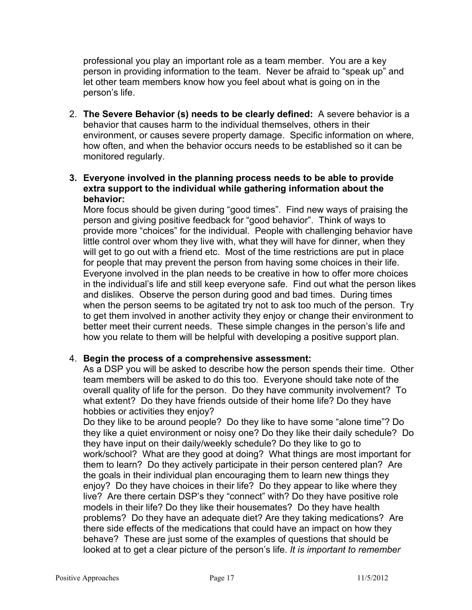professional you play an important role as a team member. You are a key person in providing information to the team. Never be afraid to "speak up" and let other team members know how you feel about what is going on in the person's life.

- 2. **The Severe Behavior (s) needs to be clearly defined:** A severe behavior is a behavior that causes harm to the individual themselves, others in their environment, or causes severe property damage. Specific information on where, how often, and when the behavior occurs needs to be established so it can be monitored regularly.
- **3. Everyone involved in the planning process needs to be able to provide extra support to the individual while gathering information about the behavior:**

More focus should be given during "good times". Find new ways of praising the person and giving positive feedback for "good behavior". Think of ways to provide more "choices" for the individual. People with challenging behavior have little control over whom they live with, what they will have for dinner, when they will get to go out with a friend etc. Most of the time restrictions are put in place for people that may prevent the person from having some choices in their life. Everyone involved in the plan needs to be creative in how to offer more choices in the individual's life and still keep everyone safe. Find out what the person likes and dislikes. Observe the person during good and bad times. During times when the person seems to be agitated try not to ask too much of the person. Try to get them involved in another activity they enjoy or change their environment to better meet their current needs. These simple changes in the person's life and how you relate to them will be helpful with developing a positive support plan.

#### 4. **Begin the process of a comprehensive assessment:**

As a DSP you will be asked to describe how the person spends their time. Other team members will be asked to do this too. Everyone should take note of the overall quality of life for the person. Do they have community involvement? To what extent? Do they have friends outside of their home life? Do they have hobbies or activities they enjoy?

Do they like to be around people? Do they like to have some "alone time"? Do they like a quiet environment or noisy one? Do they like their daily schedule? Do they have input on their daily/weekly schedule? Do they like to go to work/school? What are they good at doing? What things are most important for them to learn? Do they actively participate in their person centered plan? Are the goals in their individual plan encouraging them to learn new things they enjoy? Do they have choices in their life? Do they appear to like where they live? Are there certain DSP's they "connect" with? Do they have positive role models in their life? Do they like their housemates? Do they have health problems? Do they have an adequate diet? Are they taking medications? Are there side effects of the medications that could have an impact on how they behave? These are just some of the examples of questions that should be looked at to get a clear picture of the person's life. *It is important to remember*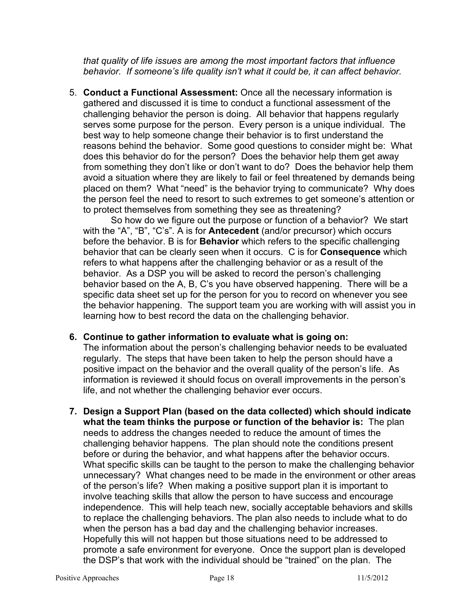*that quality of life issues are among the most important factors that influence behavior. If someone's life quality isn't what it could be, it can affect behavior.* 

5. **Conduct a Functional Assessment:** Once all the necessary information is gathered and discussed it is time to conduct a functional assessment of the challenging behavior the person is doing. All behavior that happens regularly serves some purpose for the person. Every person is a unique individual. The best way to help someone change their behavior is to first understand the reasons behind the behavior. Some good questions to consider might be: What does this behavior do for the person? Does the behavior help them get away from something they don't like or don't want to do? Does the behavior help them avoid a situation where they are likely to fail or feel threatened by demands being placed on them? What "need" is the behavior trying to communicate? Why does the person feel the need to resort to such extremes to get someone's attention or to protect themselves from something they see as threatening?

So how do we figure out the purpose or function of a behavior? We start with the "A", "B", "C's". A is for **Antecedent** (and/or precursor) which occurs before the behavior. B is for **Behavior** which refers to the specific challenging behavior that can be clearly seen when it occurs. C is for **Consequence** which refers to what happens after the challenging behavior or as a result of the behavior. As a DSP you will be asked to record the person's challenging behavior based on the A, B, C's you have observed happening. There will be a specific data sheet set up for the person for you to record on whenever you see the behavior happening. The support team you are working with will assist you in learning how to best record the data on the challenging behavior.

#### **6. Continue to gather information to evaluate what is going on:**

The information about the person's challenging behavior needs to be evaluated regularly. The steps that have been taken to help the person should have a positive impact on the behavior and the overall quality of the person's life. As information is reviewed it should focus on overall improvements in the person's life, and not whether the challenging behavior ever occurs.

**7. Design a Support Plan (based on the data collected) which should indicate what the team thinks the purpose or function of the behavior is:** The plan needs to address the changes needed to reduce the amount of times the challenging behavior happens. The plan should note the conditions present before or during the behavior, and what happens after the behavior occurs. What specific skills can be taught to the person to make the challenging behavior unnecessary? What changes need to be made in the environment or other areas of the person's life? When making a positive support plan it is important to involve teaching skills that allow the person to have success and encourage independence. This will help teach new, socially acceptable behaviors and skills to replace the challenging behaviors. The plan also needs to include what to do when the person has a bad day and the challenging behavior increases. Hopefully this will not happen but those situations need to be addressed to promote a safe environment for everyone. Once the support plan is developed the DSP's that work with the individual should be "trained" on the plan. The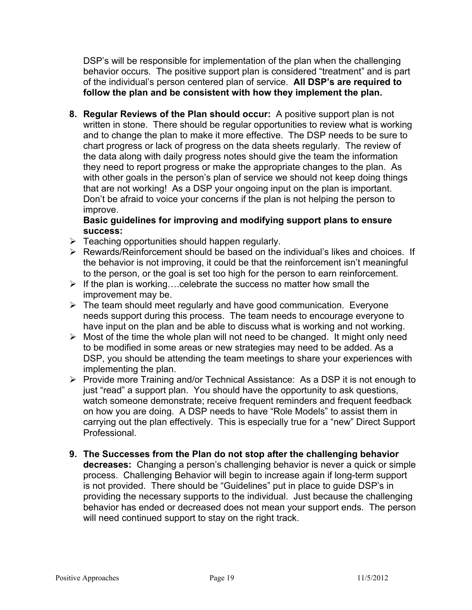DSP's will be responsible for implementation of the plan when the challenging behavior occurs. The positive support plan is considered "treatment" and is part of the individual's person centered plan of service. **All DSP's are required to follow the plan and be consistent with how they implement the plan.** 

**8. Regular Reviews of the Plan should occur:** A positive support plan is not written in stone. There should be regular opportunities to review what is working and to change the plan to make it more effective. The DSP needs to be sure to chart progress or lack of progress on the data sheets regularly. The review of the data along with daily progress notes should give the team the information they need to report progress or make the appropriate changes to the plan. As with other goals in the person's plan of service we should not keep doing things that are not working! As a DSP your ongoing input on the plan is important. Don't be afraid to voice your concerns if the plan is not helping the person to improve.

## **Basic guidelines for improving and modifying support plans to ensure success:**

- $\triangleright$  Teaching opportunities should happen regularly.
- $\triangleright$  Rewards/Reinforcement should be based on the individual's likes and choices. If the behavior is not improving, it could be that the reinforcement isn't meaningful to the person, or the goal is set too high for the person to earn reinforcement.
- $\triangleright$  If the plan is working....celebrate the success no matter how small the improvement may be.
- $\triangleright$  The team should meet regularly and have good communication. Everyone needs support during this process. The team needs to encourage everyone to have input on the plan and be able to discuss what is working and not working.
- $\triangleright$  Most of the time the whole plan will not need to be changed. It might only need to be modified in some areas or new strategies may need to be added. As a DSP, you should be attending the team meetings to share your experiences with implementing the plan.
- ¾ Provide more Training and/or Technical Assistance: As a DSP it is not enough to just "read" a support plan. You should have the opportunity to ask questions, watch someone demonstrate; receive frequent reminders and frequent feedback on how you are doing. A DSP needs to have "Role Models" to assist them in carrying out the plan effectively. This is especially true for a "new" Direct Support Professional.
- **9. The Successes from the Plan do not stop after the challenging behavior decreases:** Changing a person's challenging behavior is never a quick or simple process. Challenging Behavior will begin to increase again if long-term support is not provided. There should be "Guidelines" put in place to guide DSP's in providing the necessary supports to the individual. Just because the challenging behavior has ended or decreased does not mean your support ends. The person will need continued support to stay on the right track.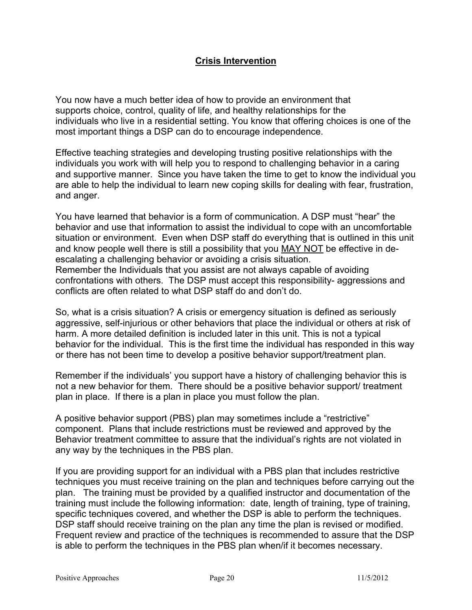## **Crisis Intervention**

You now have a much better idea of how to provide an environment that supports choice, control, quality of life, and healthy relationships for the individuals who live in a residential setting. You know that offering choices is one of the most important things a DSP can do to encourage independence.

Effective teaching strategies and developing trusting positive relationships with the individuals you work with will help you to respond to challenging behavior in a caring and supportive manner. Since you have taken the time to get to know the individual you are able to help the individual to learn new coping skills for dealing with fear, frustration, and anger.

You have learned that behavior is a form of communication. A DSP must "hear" the behavior and use that information to assist the individual to cope with an uncomfortable situation or environment. Even when DSP staff do everything that is outlined in this unit and know people well there is still a possibility that you MAY NOT be effective in deescalating a challenging behavior or avoiding a crisis situation. Remember the Individuals that you assist are not always capable of avoiding confrontations with others. The DSP must accept this responsibility- aggressions and conflicts are often related to what DSP staff do and don't do.

So, what is a crisis situation? A crisis or emergency situation is defined as seriously aggressive, self-injurious or other behaviors that place the individual or others at risk of harm. A more detailed definition is included later in this unit. This is not a typical behavior for the individual. This is the first time the individual has responded in this way or there has not been time to develop a positive behavior support/treatment plan.

Remember if the individuals' you support have a history of challenging behavior this is not a new behavior for them. There should be a positive behavior support/ treatment plan in place. If there is a plan in place you must follow the plan.

A positive behavior support (PBS) plan may sometimes include a "restrictive" component. Plans that include restrictions must be reviewed and approved by the Behavior treatment committee to assure that the individual's rights are not violated in any way by the techniques in the PBS plan.

If you are providing support for an individual with a PBS plan that includes restrictive techniques you must receive training on the plan and techniques before carrying out the plan. The training must be provided by a qualified instructor and documentation of the training must include the following information: date, length of training, type of training, specific techniques covered, and whether the DSP is able to perform the techniques. DSP staff should receive training on the plan any time the plan is revised or modified. Frequent review and practice of the techniques is recommended to assure that the DSP is able to perform the techniques in the PBS plan when/if it becomes necessary.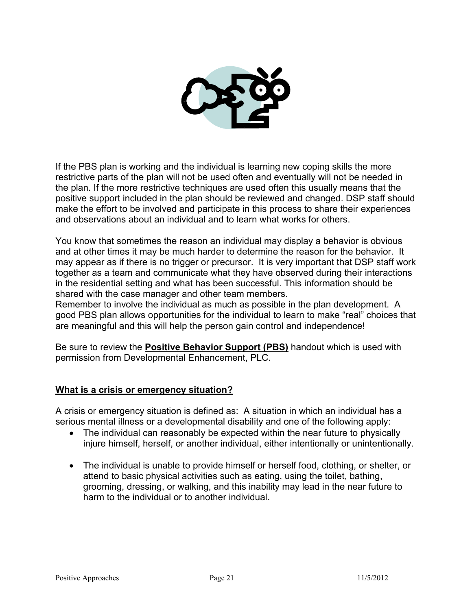

If the PBS plan is working and the individual is learning new coping skills the more restrictive parts of the plan will not be used often and eventually will not be needed in the plan. If the more restrictive techniques are used often this usually means that the positive support included in the plan should be reviewed and changed. DSP staff should make the effort to be involved and participate in this process to share their experiences and observations about an individual and to learn what works for others.

You know that sometimes the reason an individual may display a behavior is obvious and at other times it may be much harder to determine the reason for the behavior. It may appear as if there is no trigger or precursor. It is very important that DSP staff work together as a team and communicate what they have observed during their interactions in the residential setting and what has been successful. This information should be shared with the case manager and other team members.

Remember to involve the individual as much as possible in the plan development. A good PBS plan allows opportunities for the individual to learn to make "real" choices that are meaningful and this will help the person gain control and independence!

Be sure to review the **Positive Behavior Support (PBS)** handout which is used with permission from Developmental Enhancement, PLC.

# **What is a crisis or emergency situation?**

A crisis or emergency situation is defined as: A situation in which an individual has a serious mental illness or a developmental disability and one of the following apply:

- The individual can reasonably be expected within the near future to physically injure himself, herself, or another individual, either intentionally or unintentionally.
- The individual is unable to provide himself or herself food, clothing, or shelter, or attend to basic physical activities such as eating, using the toilet, bathing, grooming, dressing, or walking, and this inability may lead in the near future to harm to the individual or to another individual.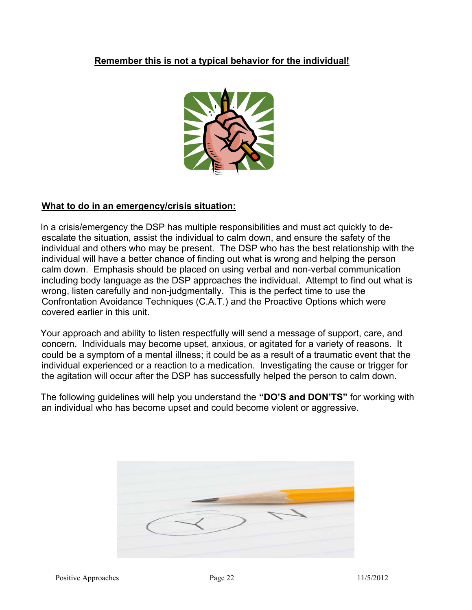# **Remember this is not a typical behavior for the individual!**



# **What to do in an emergency/crisis situation:**

 In a crisis/emergency the DSP has multiple responsibilities and must act quickly to deescalate the situation, assist the individual to calm down, and ensure the safety of the individual and others who may be present. The DSP who has the best relationship with the individual will have a better chance of finding out what is wrong and helping the person calm down. Emphasis should be placed on using verbal and non-verbal communication including body language as the DSP approaches the individual. Attempt to find out what is wrong, listen carefully and non-judgmentally. This is the perfect time to use the Confrontation Avoidance Techniques (C.A.T.) and the Proactive Options which were covered earlier in this unit.

 Your approach and ability to listen respectfully will send a message of support, care, and concern. Individuals may become upset, anxious, or agitated for a variety of reasons. It could be a symptom of a mental illness; it could be as a result of a traumatic event that the individual experienced or a reaction to a medication. Investigating the cause or trigger for the agitation will occur after the DSP has successfully helped the person to calm down.

 The following guidelines will help you understand the **"DO'S and DON'TS"** for working with an individual who has become upset and could become violent or aggressive.

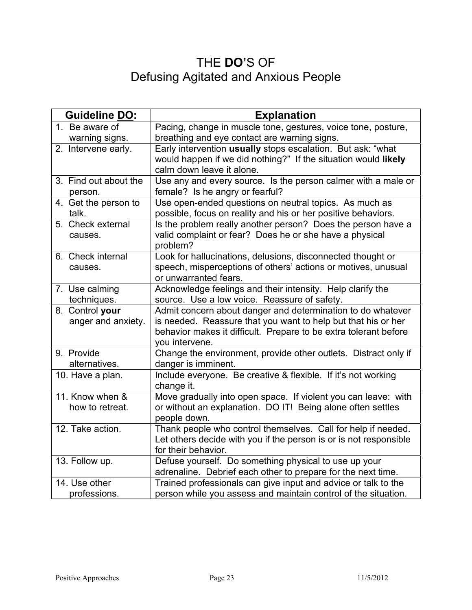# THE **DO'**S OF Defusing Agitated and Anxious People

| <b>Guideline DO:</b>                  | <b>Explanation</b>                                                                                                                                                                                                 |
|---------------------------------------|--------------------------------------------------------------------------------------------------------------------------------------------------------------------------------------------------------------------|
| 1. Be aware of                        | Pacing, change in muscle tone, gestures, voice tone, posture,                                                                                                                                                      |
| warning signs.                        | breathing and eye contact are warning signs.                                                                                                                                                                       |
| 2. Intervene early.                   | Early intervention usually stops escalation. But ask: "what<br>would happen if we did nothing?" If the situation would likely<br>calm down leave it alone.                                                         |
| 3. Find out about the<br>person.      | Use any and every source. Is the person calmer with a male or<br>female? Is he angry or fearful?                                                                                                                   |
| 4. Get the person to<br>talk.         | Use open-ended questions on neutral topics. As much as<br>possible, focus on reality and his or her positive behaviors.                                                                                            |
| 5. Check external<br>causes.          | Is the problem really another person? Does the person have a<br>valid complaint or fear? Does he or she have a physical<br>problem?                                                                                |
| 6. Check internal<br>causes.          | Look for hallucinations, delusions, disconnected thought or<br>speech, misperceptions of others' actions or motives, unusual<br>or unwarranted fears.                                                              |
| 7. Use calming<br>techniques.         | Acknowledge feelings and their intensity. Help clarify the<br>source. Use a low voice. Reassure of safety.                                                                                                         |
| 8. Control your<br>anger and anxiety. | Admit concern about danger and determination to do whatever<br>is needed. Reassure that you want to help but that his or her<br>behavior makes it difficult. Prepare to be extra tolerant before<br>you intervene. |
| 9. Provide<br>alternatives.           | Change the environment, provide other outlets. Distract only if<br>danger is imminent.                                                                                                                             |
| 10. Have a plan.                      | Include everyone. Be creative & flexible. If it's not working<br>change it.                                                                                                                                        |
| 11. Know when &<br>how to retreat.    | Move gradually into open space. If violent you can leave: with<br>or without an explanation. DO IT! Being alone often settles<br>people down.                                                                      |
| 12. Take action.                      | Thank people who control themselves. Call for help if needed.<br>Let others decide with you if the person is or is not responsible<br>for their behavior.                                                          |
| 13. Follow up.                        | Defuse yourself. Do something physical to use up your<br>adrenaline. Debrief each other to prepare for the next time.                                                                                              |
| 14. Use other                         | Trained professionals can give input and advice or talk to the                                                                                                                                                     |
| professions.                          | person while you assess and maintain control of the situation.                                                                                                                                                     |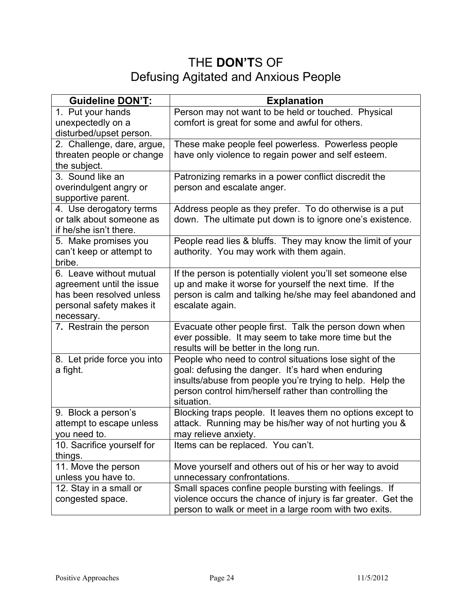# THE **DON'T**S OF Defusing Agitated and Anxious People

| <b>Guideline DON'T:</b>                                                                     | <b>Explanation</b>                                                                                                                                                                                                                                 |
|---------------------------------------------------------------------------------------------|----------------------------------------------------------------------------------------------------------------------------------------------------------------------------------------------------------------------------------------------------|
| 1. Put your hands<br>unexpectedly on a                                                      | Person may not want to be held or touched. Physical<br>comfort is great for some and awful for others.                                                                                                                                             |
| disturbed/upset person.                                                                     |                                                                                                                                                                                                                                                    |
| 2. Challenge, dare, argue,                                                                  | These make people feel powerless. Powerless people                                                                                                                                                                                                 |
| threaten people or change<br>the subject.                                                   | have only violence to regain power and self esteem.                                                                                                                                                                                                |
| 3. Sound like an                                                                            | Patronizing remarks in a power conflict discredit the                                                                                                                                                                                              |
| overindulgent angry or<br>supportive parent.                                                | person and escalate anger.                                                                                                                                                                                                                         |
| $\overline{4}$ . Use derogatory terms<br>or talk about someone as<br>if he/she isn't there. | Address people as they prefer. To do otherwise is a put<br>down. The ultimate put down is to ignore one's existence.                                                                                                                               |
| 5. Make promises you<br>can't keep or attempt to<br>bribe.                                  | People read lies & bluffs. They may know the limit of your<br>authority. You may work with them again.                                                                                                                                             |
| 6. Leave without mutual<br>agreement until the issue<br>has been resolved unless            | If the person is potentially violent you'll set someone else<br>up and make it worse for yourself the next time. If the<br>person is calm and talking he/she may feel abandoned and                                                                |
| personal safety makes it<br>necessary.                                                      | escalate again.                                                                                                                                                                                                                                    |
| 7. Restrain the person                                                                      | Evacuate other people first. Talk the person down when<br>ever possible. It may seem to take more time but the<br>results will be better in the long run.                                                                                          |
| 8. Let pride force you into<br>a fight.                                                     | People who need to control situations lose sight of the<br>goal: defusing the danger. It's hard when enduring<br>insults/abuse from people you're trying to help. Help the<br>person control him/herself rather than controlling the<br>situation. |
| 9. Block a person's<br>attempt to escape unless<br>you need to.                             | Blocking traps people. It leaves them no options except to<br>attack. Running may be his/her way of not hurting you &<br>may relieve anxiety.                                                                                                      |
| 10. Sacrifice yourself for<br>things.                                                       | Items can be replaced. You can't.                                                                                                                                                                                                                  |
| 11. Move the person<br>unless you have to.                                                  | Move yourself and others out of his or her way to avoid<br>unnecessary confrontations.                                                                                                                                                             |
| 12. Stay in a small or<br>congested space.                                                  | Small spaces confine people bursting with feelings. If<br>violence occurs the chance of injury is far greater. Get the<br>person to walk or meet in a large room with two exits.                                                                   |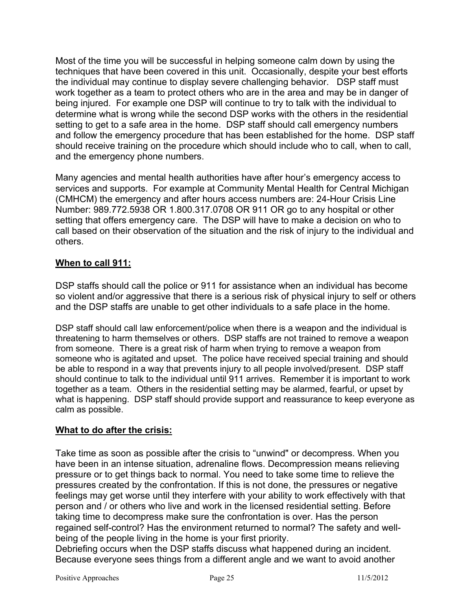Most of the time you will be successful in helping someone calm down by using the techniques that have been covered in this unit. Occasionally, despite your best efforts the individual may continue to display severe challenging behavior. DSP staff must work together as a team to protect others who are in the area and may be in danger of being injured. For example one DSP will continue to try to talk with the individual to determine what is wrong while the second DSP works with the others in the residential setting to get to a safe area in the home. DSP staff should call emergency numbers and follow the emergency procedure that has been established for the home. DSP staff should receive training on the procedure which should include who to call, when to call, and the emergency phone numbers.

Many agencies and mental health authorities have after hour's emergency access to services and supports. For example at Community Mental Health for Central Michigan (CMHCM) the emergency and after hours access numbers are: 24-Hour Crisis Line Number: 989.772.5938 OR 1.800.317.0708 OR 911 OR go to any hospital or other setting that offers emergency care. The DSP will have to make a decision on who to call based on their observation of the situation and the risk of injury to the individual and others.

## **When to call 911:**

DSP staffs should call the police or 911 for assistance when an individual has become so violent and/or aggressive that there is a serious risk of physical injury to self or others and the DSP staffs are unable to get other individuals to a safe place in the home.

DSP staff should call law enforcement/police when there is a weapon and the individual is threatening to harm themselves or others. DSP staffs are not trained to remove a weapon from someone. There is a great risk of harm when trying to remove a weapon from someone who is agitated and upset. The police have received special training and should be able to respond in a way that prevents injury to all people involved/present. DSP staff should continue to talk to the individual until 911 arrives. Remember it is important to work together as a team. Others in the residential setting may be alarmed, fearful, or upset by what is happening. DSP staff should provide support and reassurance to keep everyone as calm as possible.

#### **What to do after the crisis:**

Take time as soon as possible after the crisis to "unwind" or decompress. When you have been in an intense situation, adrenaline flows. Decompression means relieving pressure or to get things back to normal. You need to take some time to relieve the pressures created by the confrontation. If this is not done, the pressures or negative feelings may get worse until they interfere with your ability to work effectively with that person and / or others who live and work in the licensed residential setting. Before taking time to decompress make sure the confrontation is over. Has the person regained self-control? Has the environment returned to normal? The safety and wellbeing of the people living in the home is your first priority.

Debriefing occurs when the DSP staffs discuss what happened during an incident. Because everyone sees things from a different angle and we want to avoid another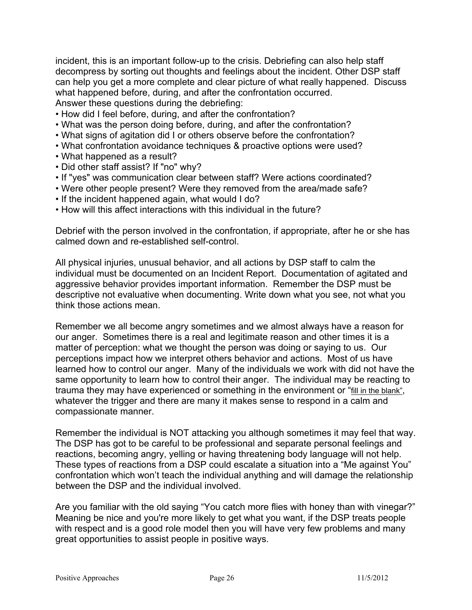incident, this is an important follow-up to the crisis. Debriefing can also help staff decompress by sorting out thoughts and feelings about the incident. Other DSP staff can help you get a more complete and clear picture of what really happened. Discuss what happened before, during, and after the confrontation occurred. Answer these questions during the debriefing:

- How did I feel before, during, and after the confrontation?
- What was the person doing before, during, and after the confrontation?
- What signs of agitation did I or others observe before the confrontation?
- What confrontation avoidance techniques & proactive options were used?
- What happened as a result?
- Did other staff assist? If "no" why?
- If "yes" was communication clear between staff? Were actions coordinated?
- Were other people present? Were they removed from the area/made safe?
- If the incident happened again, what would I do?
- How will this affect interactions with this individual in the future?

Debrief with the person involved in the confrontation, if appropriate, after he or she has calmed down and re-established self-control.

All physical injuries, unusual behavior, and all actions by DSP staff to calm the individual must be documented on an Incident Report. Documentation of agitated and aggressive behavior provides important information. Remember the DSP must be descriptive not evaluative when documenting. Write down what you see, not what you think those actions mean.

Remember we all become angry sometimes and we almost always have a reason for our anger. Sometimes there is a real and legitimate reason and other times it is a matter of perception: what we thought the person was doing or saying to us. Our perceptions impact how we interpret others behavior and actions. Most of us have learned how to control our anger. Many of the individuals we work with did not have the same opportunity to learn how to control their anger. The individual may be reacting to trauma they may have experienced or something in the environment or "fill in the blank", whatever the trigger and there are many it makes sense to respond in a calm and compassionate manner.

Remember the individual is NOT attacking you although sometimes it may feel that way. The DSP has got to be careful to be professional and separate personal feelings and reactions, becoming angry, yelling or having threatening body language will not help. These types of reactions from a DSP could escalate a situation into a "Me against You" confrontation which won't teach the individual anything and will damage the relationship between the DSP and the individual involved.

Are you familiar with the old saying "You catch more flies with honey than with vinegar?" Meaning be nice and you're more likely to get what you want, if the DSP treats people with respect and is a good role model then you will have very few problems and many great opportunities to assist people in positive ways.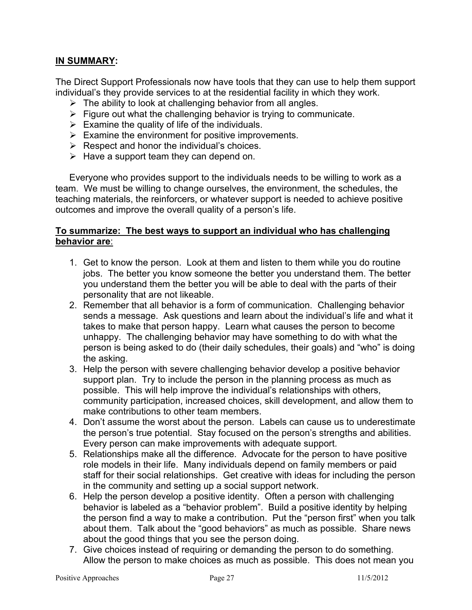## **IN SUMMARY:**

The Direct Support Professionals now have tools that they can use to help them support individual's they provide services to at the residential facility in which they work.

- $\triangleright$  The ability to look at challenging behavior from all angles.
- $\triangleright$  Figure out what the challenging behavior is trying to communicate.
- $\triangleright$  Examine the quality of life of the individuals.
- $\triangleright$  Examine the environment for positive improvements.
- $\triangleright$  Respect and honor the individual's choices.
- $\triangleright$  Have a support team they can depend on.

Everyone who provides support to the individuals needs to be willing to work as a team. We must be willing to change ourselves, the environment, the schedules, the teaching materials, the reinforcers, or whatever support is needed to achieve positive outcomes and improve the overall quality of a person's life.

#### **To summarize: The best ways to support an individual who has challenging behavior are**:

- 1. Get to know the person. Look at them and listen to them while you do routine jobs. The better you know someone the better you understand them. The better you understand them the better you will be able to deal with the parts of their personality that are not likeable.
- 2. Remember that all behavior is a form of communication. Challenging behavior sends a message. Ask questions and learn about the individual's life and what it takes to make that person happy. Learn what causes the person to become unhappy. The challenging behavior may have something to do with what the person is being asked to do (their daily schedules, their goals) and "who" is doing the asking.
- 3. Help the person with severe challenging behavior develop a positive behavior support plan. Try to include the person in the planning process as much as possible. This will help improve the individual's relationships with others, community participation, increased choices, skill development, and allow them to make contributions to other team members.
- 4. Don't assume the worst about the person. Labels can cause us to underestimate the person's true potential. Stay focused on the person's strengths and abilities. Every person can make improvements with adequate support.
- 5. Relationships make all the difference. Advocate for the person to have positive role models in their life. Many individuals depend on family members or paid staff for their social relationships. Get creative with ideas for including the person in the community and setting up a social support network.
- 6. Help the person develop a positive identity. Often a person with challenging behavior is labeled as a "behavior problem". Build a positive identity by helping the person find a way to make a contribution. Put the "person first" when you talk about them. Talk about the "good behaviors" as much as possible. Share news about the good things that you see the person doing.
- 7. Give choices instead of requiring or demanding the person to do something. Allow the person to make choices as much as possible. This does not mean you